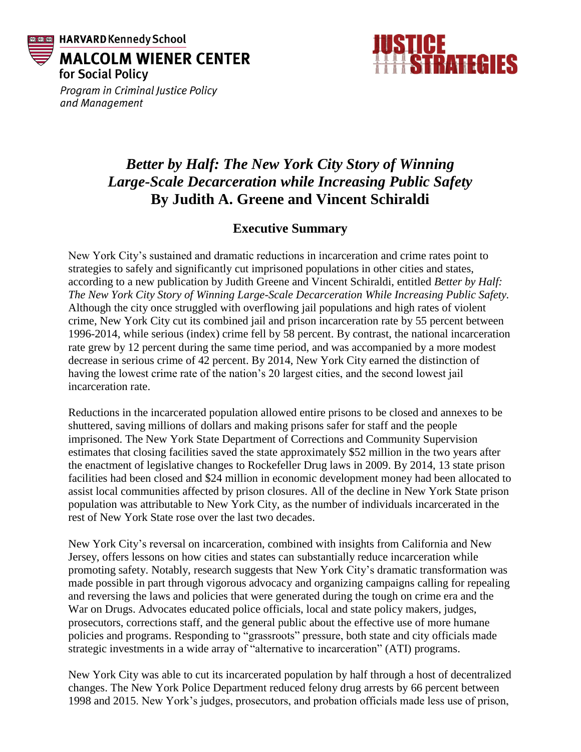



Program in Criminal Justice Policy and Management

## *Better by Half: The New York City Story of Winning Large-Scale Decarceration while Increasing Public Safety* **By Judith A. Greene and Vincent Schiraldi**

## **Executive Summary**

New York City's sustained and dramatic reductions in incarceration and crime rates point to strategies to safely and significantly cut imprisoned populations in other cities and states, according to a new publication by Judith Greene and Vincent Schiraldi, entitled *Better by Half: The New York City Story of Winning Large-Scale Decarceration While Increasing Public Safety.* Although the city once struggled with overflowing jail populations and high rates of violent crime, New York City cut its combined jail and prison incarceration rate by 55 percent between 1996-2014, while serious (index) crime fell by 58 percent. By contrast, the national incarceration rate grew by 12 percent during the same time period, and was accompanied by a more modest decrease in serious crime of 42 percent. By 2014, New York City earned the distinction of having the lowest crime rate of the nation's 20 largest cities, and the second lowest jail incarceration rate.

Reductions in the incarcerated population allowed entire prisons to be closed and annexes to be shuttered, saving millions of dollars and making prisons safer for staff and the people imprisoned. The New York State Department of Corrections and Community Supervision estimates that closing facilities saved the state approximately \$52 million in the two years after the enactment of legislative changes to Rockefeller Drug laws in 2009. By 2014, 13 state prison facilities had been closed and \$24 million in economic development money had been allocated to assist local communities affected by prison closures. All of the decline in New York State prison population was attributable to New York City, as the number of individuals incarcerated in the rest of New York State rose over the last two decades.

New York City's reversal on incarceration, combined with insights from California and New Jersey, offers lessons on how cities and states can substantially reduce incarceration while promoting safety. Notably, research suggests that New York City's dramatic transformation was made possible in part through vigorous advocacy and organizing campaigns calling for repealing and reversing the laws and policies that were generated during the tough on crime era and the War on Drugs. Advocates educated police officials, local and state policy makers, judges, prosecutors, corrections staff, and the general public about the effective use of more humane policies and programs. Responding to "grassroots" pressure, both state and city officials made strategic investments in a wide array of "alternative to incarceration" (ATI) programs.

New York City was able to cut its incarcerated population by half through a host of decentralized changes. The New York Police Department reduced felony drug arrests by 66 percent between 1998 and 2015. New York's judges, prosecutors, and probation officials made less use of prison,